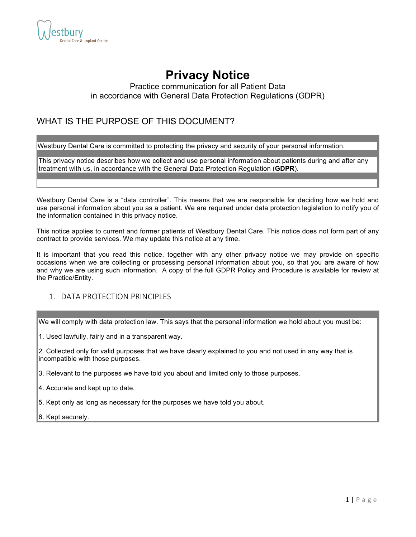

# **Privacy Notice**

## Practice communication for all Patient Data in accordance with General Data Protection Regulations (GDPR)

## WHAT IS THE PURPOSE OF THIS DOCUMENT?

Westbury Dental Care is committed to protecting the privacy and security of your personal information.

This privacy notice describes how we collect and use personal information about patients during and after any treatment with us, in accordance with the General Data Protection Regulation (**GDPR**).

Westbury Dental Care is a "data controller". This means that we are responsible for deciding how we hold and use personal information about you as a patient. We are required under data protection legislation to notify you of the information contained in this privacy notice.

This notice applies to current and former patients of Westbury Dental Care. This notice does not form part of any contract to provide services. We may update this notice at any time.

It is important that you read this notice, together with any other privacy notice we may provide on specific occasions when we are collecting or processing personal information about you, so that you are aware of how and why we are using such information. A copy of the full GDPR Policy and Procedure is available for review at the Practice/Entity.

## 1. DATA PROTECTION PRINCIPLES

We will comply with data protection law. This says that the personal information we hold about you must be:

1. Used lawfully, fairly and in a transparent way.

2. Collected only for valid purposes that we have clearly explained to you and not used in any way that is incompatible with those purposes.

3. Relevant to the purposes we have told you about and limited only to those purposes.

4. Accurate and kept up to date.

5. Kept only as long as necessary for the purposes we have told you about.

6. Kept securely.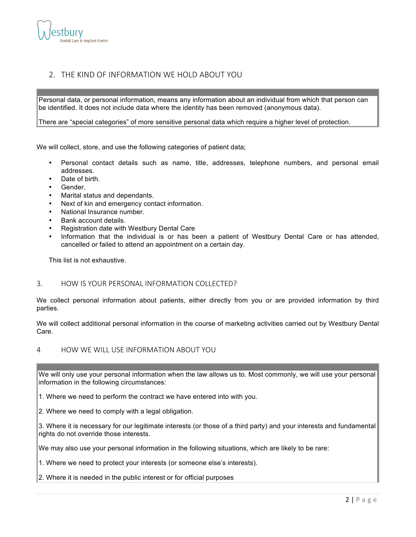

## 2. THE KIND OF INFORMATION WE HOLD ABOUT YOU

Personal data, or personal information, means any information about an individual from which that person can be identified. It does not include data where the identity has been removed (anonymous data).

There are "special categories" of more sensitive personal data which require a higher level of protection.

We will collect, store, and use the following categories of patient data;

- Personal contact details such as name, title, addresses, telephone numbers, and personal email addresses.
- Date of birth.
- Gender.
- Marital status and dependants.
- Next of kin and emergency contact information.
- National Insurance number.
- Bank account details.
- Registration date with Westbury Dental Care
- Information that the individual is or has been a patient of Westbury Dental Care or has attended, cancelled or failed to attend an appointment on a certain day.

This list is not exhaustive.

## 3. HOW IS YOUR PERSONAL INFORMATION COLLECTED?

We collect personal information about patients, either directly from you or are provided information by third parties.

We will collect additional personal information in the course of marketing activities carried out by Westbury Dental Care.

#### 4 HOW WE WILL USE INFORMATION ABOUT YOU

We will only use your personal information when the law allows us to. Most commonly, we will use your personal information in the following circumstances:

1. Where we need to perform the contract we have entered into with you.

2. Where we need to comply with a legal obligation.

3. Where it is necessary for our legitimate interests (or those of a third party) and your interests and fundamental rights do not override those interests.

We may also use your personal information in the following situations, which are likely to be rare:

1. Where we need to protect your interests (or someone else's interests).

#### 2. Where it is needed in the public interest or for official purposes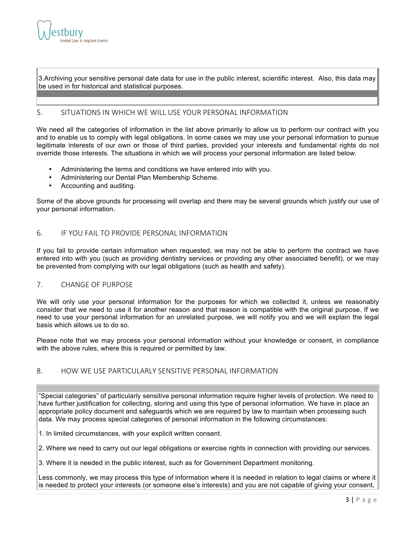

3.Archiving your sensitive personal date data for use in the public interest, scientific interest. Also, this data may be used in for historical and statistical purposes.

## 5. SITUATIONS IN WHICH WE WILL USE YOUR PERSONAL INFORMATION

We need all the categories of information in the list above primarily to allow us to perform our contract with you and to enable us to comply with legal obligations. In some cases we may use your personal information to pursue legitimate interests of our own or those of third parties, provided your interests and fundamental rights do not override those interests. The situations in which we will process your personal information are listed below.

- Administering the terms and conditions we have entered into with you.
- Administering our Dental Plan Membership Scheme.
- Accounting and auditing.

Some of the above grounds for processing will overlap and there may be several grounds which justify our use of your personal information.

#### 6. IF YOU FAIL TO PROVIDE PERSONAL INFORMATION

If you fail to provide certain information when requested, we may not be able to perform the contract we have entered into with you (such as providing dentistry services or providing any other associated benefit), or we may be prevented from complying with our legal obligations (such as health and safety).

#### 7. CHANGE OF PURPOSE

We will only use your personal information for the purposes for which we collected it, unless we reasonably consider that we need to use it for another reason and that reason is compatible with the original purpose. If we need to use your personal information for an unrelated purpose, we will notify you and we will explain the legal basis which allows us to do so.

Please note that we may process your personal information without your knowledge or consent, in compliance with the above rules, where this is required or permitted by law.

### 8. HOW WE USE PARTICULARLY SENSITIVE PERSONAL INFORMATION

"Special categories" of particularly sensitive personal information require higher levels of protection. We need to have further justification for collecting, storing and using this type of personal information. We have in place an appropriate policy document and safeguards which we are required by law to maintain when processing such data. We may process special categories of personal information in the following circumstances:

1. In limited circumstances, with your explicit written consent.

2. Where we need to carry out our legal obligations or exercise rights in connection with providing our services.

3. Where it is needed in the public interest, such as for Government Department monitoring.

Less commonly, we may process this type of information where it is needed in relation to legal claims or where it is needed to protect your interests (or someone else's interests) and you are not capable of giving your consent,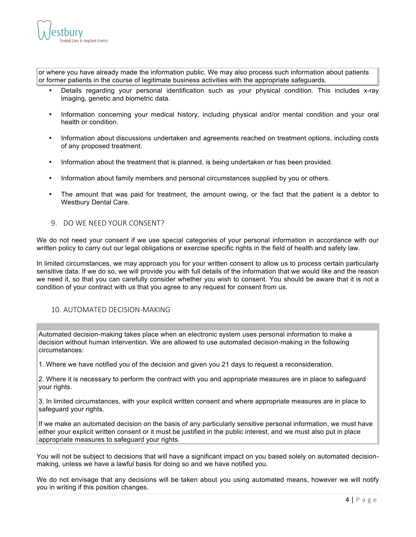

or where you have already made the information public. We may also process such information about patients or former patients in the course of legitimate business activities with the appropriate safeguards.

- Details regarding your personal identification such as your physical condition. This includes x-ray imaging, genetic and biometric data.
- Information concerning your medical history, including physical and/or mental condition and your oral health or condition.
- Information about discussions undertaken and agreements reached on treatment options, including costs of any proposed treatment.
- Information about the treatment that is planned, is being undertaken or has been provided.
- Information about family members and personal circumstances supplied by you or others.
- The amount that was paid for treatment, the amount owing, or the fact that the patient is a debtor to Westbury Dental Care.
- 9. DO WE NEED YOUR CONSENT?

We do not need your consent if we use special categories of your personal information in accordance with our written policy to carry out our legal obligations or exercise specific rights in the field of health and safety law.

In limited circumstances, we may approach you for your written consent to allow us to process certain particularly sensitive data. If we do so, we will provide you with full details of the information that we would like and the reason we need it, so that you can carefully consider whether you wish to consent. You should be aware that it is not a condition of your contract with us that you agree to any request for consent from us.

#### 10. AUTOMATED DECISION-MAKING

Automated decision-making takes place when an electronic system uses personal information to make a decision without human intervention. We are allowed to use automated decision-making in the following circumstances:

1. Where we have notified you of the decision and given you 21 days to request a reconsideration.

2. Where it is necessary to perform the contract with you and appropriate measures are in place to safeguard your rights.

3. In limited circumstances, with your explicit written consent and where appropriate measures are in place to safeguard your rights.

If we make an automated decision on the basis of any particularly sensitive personal information, we must have either your explicit written consent or it must be justified in the public interest, and we must also put in place appropriate measures to safeguard your rights.

You will not be subject to decisions that will have a significant impact on you based solely on automated decisionmaking, unless we have a lawful basis for doing so and we have notified you.

We do not envisage that any decisions will be taken about you using automated means, however we will notify you in writing if this position changes.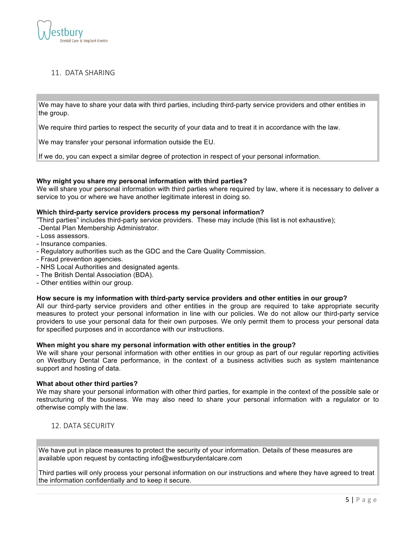

## 11. DATA SHARING

We may have to share your data with third parties, including third-party service providers and other entities in the group.

We require third parties to respect the security of your data and to treat it in accordance with the law.

We may transfer your personal information outside the EU.

If we do, you can expect a similar degree of protection in respect of your personal information.

#### **Why might you share my personal information with third parties?**

We will share your personal information with third parties where required by law, where it is necessary to deliver a service to you or where we have another legitimate interest in doing so.

#### **Which third-party service providers process my personal information?**

"Third parties" includes third-party service providers. These may include (this list is not exhaustive);

- -Dental Plan Membership Administrator.
- Loss assessors.
- Insurance companies.
- Regulatory authorities such as the GDC and the Care Quality Commission.
- Fraud prevention agencies.
- NHS Local Authorities and designated agents.
- The British Dental Association (BDA).
- Other entities within our group.

#### **How secure is my information with third-party service providers and other entities in our group?**

All our third-party service providers and other entities in the group are required to take appropriate security measures to protect your personal information in line with our policies. We do not allow our third-party service providers to use your personal data for their own purposes. We only permit them to process your personal data for specified purposes and in accordance with our instructions.

#### **When might you share my personal information with other entities in the group?**

We will share your personal information with other entities in our group as part of our regular reporting activities on Westbury Dental Care performance, in the context of a business activities such as system maintenance support and hosting of data.

#### **What about other third parties?**

We may share your personal information with other third parties, for example in the context of the possible sale or restructuring of the business. We may also need to share your personal information with a regulator or to otherwise comply with the law.

12. DATA SECURITY

We have put in place measures to protect the security of your information. Details of these measures are available upon request by contacting info@westburydentalcare.com

Third parties will only process your personal information on our instructions and where they have agreed to treat the information confidentially and to keep it secure.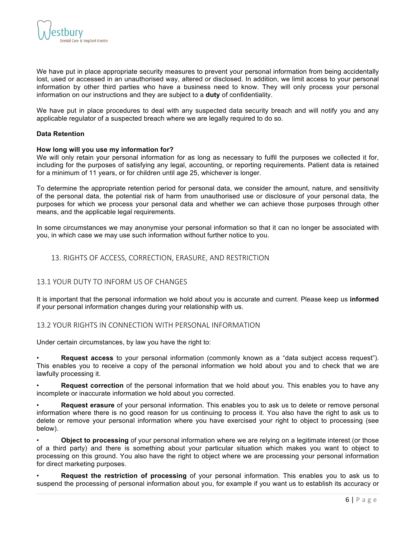

We have put in place appropriate security measures to prevent your personal information from being accidentally lost, used or accessed in an unauthorised way, altered or disclosed. In addition, we limit access to your personal information by other third parties who have a business need to know. They will only process your personal information on our instructions and they are subject to a **duty** of confidentiality.

We have put in place procedures to deal with any suspected data security breach and will notify you and any applicable regulator of a suspected breach where we are legally required to do so.

#### **Data Retention**

#### **How long will you use my information for?**

We will only retain your personal information for as long as necessary to fulfil the purposes we collected it for, including for the purposes of satisfying any legal, accounting, or reporting requirements. Patient data is retained for a minimum of 11 years, or for children until age 25, whichever is longer.

To determine the appropriate retention period for personal data, we consider the amount, nature, and sensitivity of the personal data, the potential risk of harm from unauthorised use or disclosure of your personal data, the purposes for which we process your personal data and whether we can achieve those purposes through other means, and the applicable legal requirements.

In some circumstances we may anonymise your personal information so that it can no longer be associated with you, in which case we may use such information without further notice to you.

## 13. RIGHTS OF ACCESS, CORRECTION, ERASURE, AND RESTRICTION

#### 13.1 YOUR DUTY TO INFORM US OF CHANGES

It is important that the personal information we hold about you is accurate and current. Please keep us **informed** if your personal information changes during your relationship with us.

#### 13.2 YOUR RIGHTS IN CONNECTION WITH PERSONAL INFORMATION

Under certain circumstances, by law you have the right to:

• **Request access** to your personal information (commonly known as a "data subject access request"). This enables you to receive a copy of the personal information we hold about you and to check that we are lawfully processing it.

• **Request correction** of the personal information that we hold about you. This enables you to have any incomplete or inaccurate information we hold about you corrected.

• **Request erasure** of your personal information. This enables you to ask us to delete or remove personal information where there is no good reason for us continuing to process it. You also have the right to ask us to delete or remove your personal information where you have exercised your right to object to processing (see below).

• **Object to processing** of your personal information where we are relying on a legitimate interest (or those of a third party) and there is something about your particular situation which makes you want to object to processing on this ground. You also have the right to object where we are processing your personal information for direct marketing purposes.

• **Request the restriction of processing** of your personal information. This enables you to ask us to suspend the processing of personal information about you, for example if you want us to establish its accuracy or